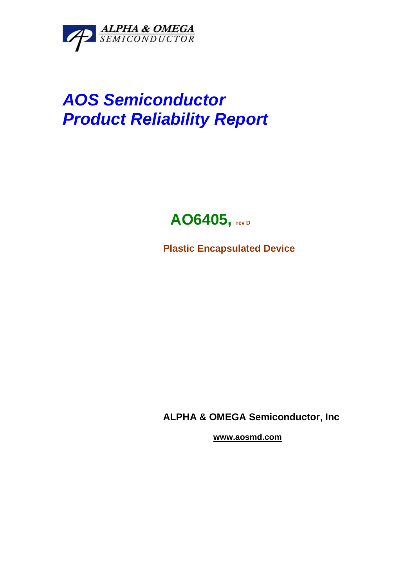

# **AOS Semiconductor Product Reliability Report**

## **AO6405, rev D**

**Plastic Encapsulated Device** 

**ALPHA & OMEGA Semiconductor, Inc** 

 **www.aosmd.com**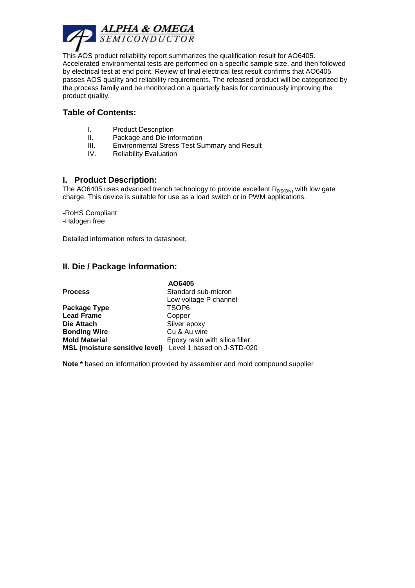

This AOS product reliability report summarizes the qualification result for AO6405. Accelerated environmental tests are performed on a specific sample size, and then followed by electrical test at end point. Review of final electrical test result confirms that AO6405 passes AOS quality and reliability requirements. The released product will be categorized by the process family and be monitored on a quarterly basis for continuously improving the product quality.

#### **Table of Contents:**

- I. Product Description
- II. Package and Die information
- III. Environmental Stress Test Summary and Result
- IV. Reliability Evaluation

#### **I. Product Description:**

The AO6405 uses advanced trench technology to provide excellent  $R_{DS(ON)}$  with low gate charge. This device is suitable for use as a load switch or in PWM applications.

-RoHS Compliant -Halogen free

Detailed information refers to datasheet.

#### **II. Die / Package Information:**

|                                                           | AO6405                         |
|-----------------------------------------------------------|--------------------------------|
| <b>Process</b>                                            | Standard sub-micron            |
|                                                           | Low voltage P channel          |
| Package Type                                              | TSOP6                          |
| <b>Lead Frame</b>                                         | Copper                         |
| Die Attach                                                | Silver epoxy                   |
| <b>Bonding Wire</b>                                       | Cu & Au wire                   |
| <b>Mold Material</b>                                      | Epoxy resin with silica filler |
| MSL (moisture sensitive level) Level 1 based on J-STD-020 |                                |

**Note \*** based on information provided by assembler and mold compound supplier